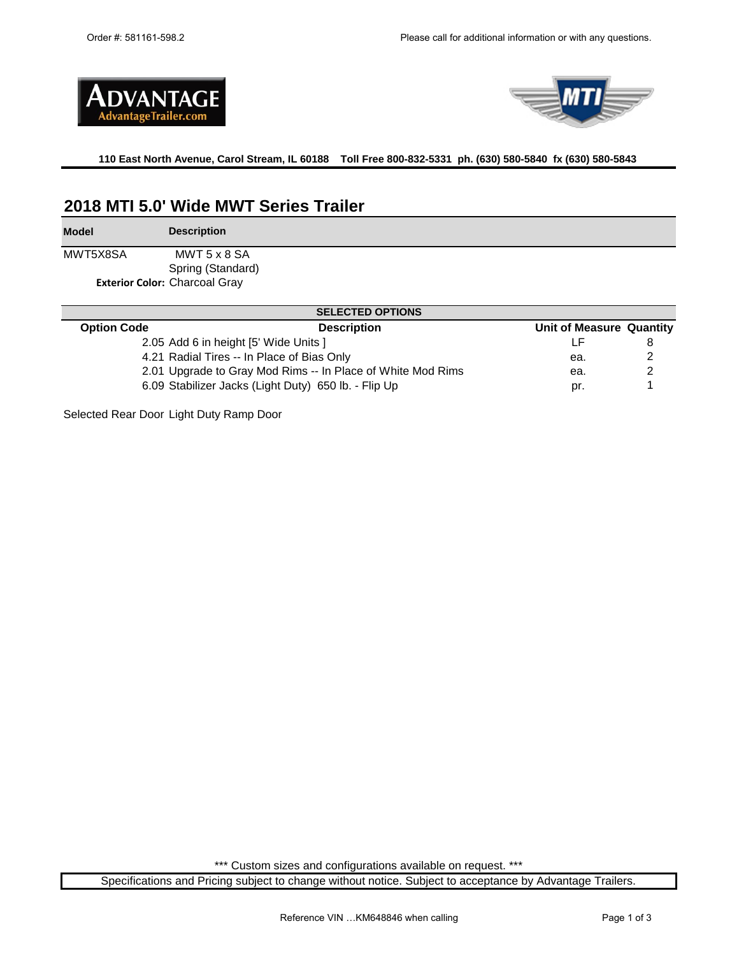



**110 East North Avenue, Carol Stream, IL 60188 Toll Free 800-832-5331 ph. (630) 580-5840 fx (630) 580-5843** 

## **2018 MTI 5.0' Wide MWT Series Trailer**

**Model Description**

MWT5X8SA Spring (Standard) **Exterior Color:** Charcoal Gray MWT 5 x 8 SA

| <b>SELECTED OPTIONS</b> |                                                             |                          |  |  |  |  |
|-------------------------|-------------------------------------------------------------|--------------------------|--|--|--|--|
| <b>Option Code</b>      | <b>Description</b>                                          | Unit of Measure Quantity |  |  |  |  |
|                         | 2.05 Add 6 in height [5' Wide Units ]                       |                          |  |  |  |  |
|                         | 4.21 Radial Tires -- In Place of Bias Only                  | ea.                      |  |  |  |  |
|                         | 2.01 Upgrade to Gray Mod Rims -- In Place of White Mod Rims | ea.                      |  |  |  |  |
|                         | 6.09 Stabilizer Jacks (Light Duty) 650 lb. - Flip Up        | pr.                      |  |  |  |  |

Selected Rear Door Light Duty Ramp Door

\*\*\* Custom sizes and configurations available on request. \*\*\*

Specifications and Pricing subject to change without notice. Subject to acceptance by Advantage Trailers.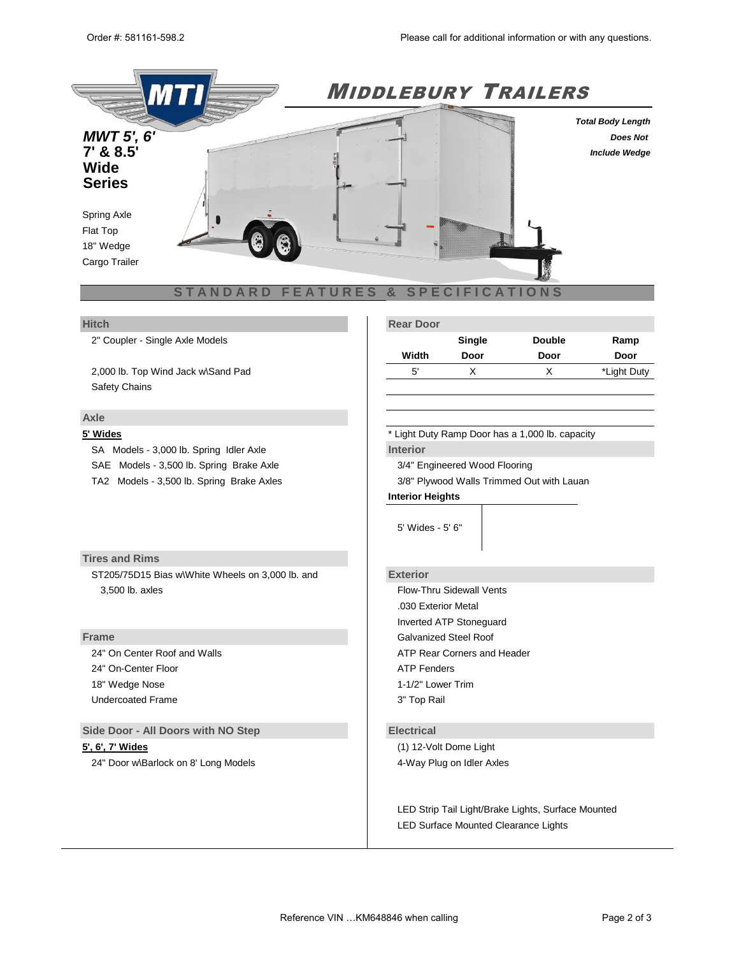

2" Coupler - Single Axle Models

2,000 lb. Top Wind Jack w\Sand Pad Safety Chains

### **Axle**

SA Models - 3,000 lb. Spring Idler Axle **Interior Interior** SAE Models - 3,500 lb. Spring Brake Axle 3/4" State 3/4" Engineered Wood Flooring

### **Tires and Rims**

ST205/75D15 Bias w\White Wheels on 3,000 lb. and **Exterior** 3,500 lb. axles Flow-Thru Sidewall Vents

24" On-Center Floor **ATP** Fenders 18" Wedge Nose 1-1/2" Lower Trim Undercoated Frame 3" Top Rail

**Side Door - All Doors with NO Step <b>Electrical** 

24" Door w\Barlock on 8' Long Models 4-Way Plug on Idler Axles

### **Hitch Rear Door**

|       | Single | <b>Double</b> | Ramp        |
|-------|--------|---------------|-------------|
| Width | Door   | Door          | Door        |
| 5'    |        |               | *Light Duty |

**5' Wides** \* Light Duty Ramp Door has a 1,000 lb. capacity

4' Wides - 4' 7' Wides - 6'

TA2 Models - 3,500 lb. Spring Brake Axles 3/8" Plywood Walls Trimmed Out with Lauan

### **Interior Heights**

5' Wides - 5' 6"

.030 Exterior Metal Inverted ATP Stoneguard **Frame** Galvanized Steel Roof 24" On Center Roof and Walls **ATP Rear Corners and Header** ATP Rear Corners and Header

**5', 6', 7' Wides** (1) 12-Volt Dome Light

LED Strip Tail Light/Brake Lights, Surface Mounted LED Surface Mounted Clearance Lights

32" Door w\Barlock on 10' and Londer 5' & 6' Wide Models 7-Way Plug on Electric Brake Axles 36" Door w\Barlock on 7' Wide Models Breakaway Box, Battery, & Switch